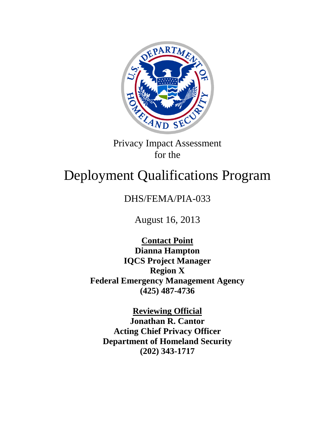

Privacy Impact Assessment for the

# Deployment Qualifications Program

# DHS/FEMA/PIA-033

August 16, 2013

**Contact Point Dianna Hampton IQCS Project Manager Region X Federal Emergency Management Agency (425) 487-4736**

**Reviewing Official Jonathan R. Cantor Acting Chief Privacy Officer Department of Homeland Security (202) 343-1717**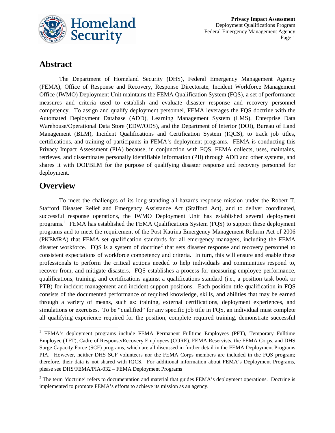

## **Abstract**

The Department of Homeland Security (DHS), Federal Emergency Management Agency (FEMA), Office of Response and Recovery, Response Directorate, Incident Workforce Management Office (IWMO) Deployment Unit maintains the FEMA Qualification System (FQS), a set of performance measures and criteria used to establish and evaluate disaster response and recovery personnel competency. To assign and qualify deployment personnel, FEMA leverages the FQS doctrine with the Automated Deployment Database (ADD), Learning Management System (LMS), Enterprise Data Warehouse/Operational Data Store (EDW/ODS), and the Department of Interior (DOI), Bureau of Land Management (BLM), Incident Qualifications and Certification System (IQCS), to track job titles, certifications, and training of participants in FEMA's deployment programs. FEMA is conducting this Privacy Impact Assessment (PIA) because, in conjunction with FQS, FEMA collects, uses, maintains, retrieves, and disseminates personally identifiable information (PII) through ADD and other systems, and shares it with DOI/BLM for the purpose of qualifying disaster response and recovery personnel for deployment.

## **Overview**

To meet the challenges of its long-standing all-hazards response mission under the Robert T. Stafford Disaster Relief and Emergency Assistance Act (Stafford Act), and to deliver coordinated, successful response operations, the IWMO Deployment Unit has established several deployment programs.<sup>[1](#page-1-0)</sup> FEMA has established the FEMA Qualifications System (FQS) to support these deployment programs and to meet the requirement of the Post Katrina Emergency Management Reform Act of 2006 (PKEMRA) that FEMA set qualification standards for all emergency managers, including the FEMA disaster workforce. FQS is a system of doctrine<sup>[2](#page-1-1)</sup> that sets disaster response and recovery personnel to consistent expectations of workforce competency and criteria. In turn, this will ensure and enable these professionals to perform the critical actions needed to help individuals and communities respond to, recover from, and mitigate disasters. FQS establishes a process for measuring employee performance, qualifications, training, and certifications against a qualifications standard (i.e., a position task book or PTB) for incident management and incident support positions. Each position title qualification in FQS consists of the documented performance of required knowledge, skills, and abilities that may be earned through a variety of means, such as: training, external certifications, deployment experiences, and simulations or exercises. To be "qualified" for any specific job title in FQS, an individual must complete all qualifying experience required for the position, complete required training, demonstrate successful

<span id="page-1-0"></span><sup>&</sup>lt;sup>1</sup> FEMA's deployment programs include FEMA Permanent Fulltime Employees (PFT), Temporary Fulltime Employee (TFT), Cadre of Response/Recovery Employees (CORE), FEMA Reservists, the FEMA Corps, and DHS Surge Capacity Force (SCF) programs, which are all discussed in further detail in the FEMA Deployment Programs PIA. However, neither DHS SCF volunteers nor the FEMA Corps members are included in the FQS program; therefore, their data is not shared with IQCS. For additional information about FEMA's Deployment Programs, please see DHS/FEMA/PIA-032 – FEMA Deployment Programs

<span id="page-1-1"></span> $2$  The term 'doctrine' refers to documentation and material that guides FEMA's deployment operations. Doctrine is implemented to promote FEMA's efforts to achieve its mission as an agency.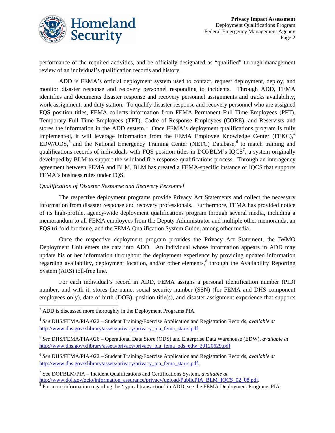

performance of the required activities, and be officially designated as "qualified" through management review of an individual's qualification records and history.

ADD is FEMA's official deployment system used to contact, request deployment, deploy, and monitor disaster response and recovery personnel responding to incidents. Through ADD, FEMA identifies and documents disaster response and recovery personnel assignments and tracks availability, work assignment, and duty station. To qualify disaster response and recovery personnel who are assigned FQS position titles, FEMA collects information from FEMA Permanent Full Time Employees (PFT), Temporary Full Time Employees (TFT), Cadre of Response Employees (CORE), and Reservists and stores the information in the ADD system.<sup>[3](#page-2-0)</sup> Once FEMA's deployment qualifications program is fully implemented, it will leverage information from the FEMA Employee Knowledge Center (FEKC),<sup>[4](#page-2-1)</sup>  $EDW/ODS$ ,<sup>[5](#page-2-2)</sup> and the National Emergency Training Center (NETC) Database,<sup>[6](#page-2-3)</sup> to match training and qualifications records of individuals with FQS position titles in DOI/BLM's  $IQCS^7$  $IQCS^7$ , a system originally developed by BLM to support the wildland fire response qualifications process. Through an interagency agreement between FEMA and BLM, BLM has created a FEMA-specific instance of IQCS that supports FEMA's business rules under FQS.

#### *Qualification of Disaster Response and Recovery Personnel*

The respective deployment programs provide Privacy Act Statements and collect the necessary information from disaster response and recovery professionals. Furthermore, FEMA has provided notice of its high-profile, agency-wide deployment qualifications program through several media, including a memorandum to all FEMA employees from the Deputy Administrator and multiple other memoranda, an FQS tri-fold brochure, and the FEMA Qualification System Guide, among other media.

Once the respective deployment program provides the Privacy Act Statement, the IWMO Deployment Unit enters the data into ADD. An individual whose information appears in ADD may update his or her information throughout the deployment experience by providing updated information regarding availability, deployment location, and/or other elements,  $\delta$  through the Availability Reporting System (ARS) toll-free line.

For each individual's record in ADD, FEMA assigns a personal identification number (PID) number, and with it, stores the name, social security number (SSN) (for FEMA and DHS component employees only), date of birth (DOB), position title(s), and disaster assignment experience that supports

<span id="page-2-0"></span><sup>&</sup>lt;sup>3</sup> ADD is discussed more thoroughly in the Deployment Programs PIA.

<span id="page-2-1"></span><sup>4</sup> *See* DHS/FEMA/PIA-022 – Student Training/Exercise Application and Registration Records, *available at* [http://www.dhs.gov/xlibrary/assets/privacy/privacy\\_pia\\_fema\\_starrs.pdf.](http://www.dhs.gov/xlibrary/assets/privacy/privacy_pia_fema_starrs.pdf)

<span id="page-2-2"></span><sup>5</sup> *See* DHS/FEMA/PIA-026 – Operational Data Store (ODS) and Enterprise Data Warehouse (EDW), *available at* [http://www.dhs.gov/xlibrary/assets/privacy/privacy\\_pia\\_fema\\_ods\\_edw\\_20120629.pdf.](http://www.dhs.gov/xlibrary/assets/privacy/privacy_pia_fema_ods_edw_20120629.pdf)

<span id="page-2-3"></span><sup>6</sup> *See* DHS/FEMA/PIA-022 – Student Training/Exercise Application and Registration Records, *available at* [http://www.dhs.gov/xlibrary/assets/privacy/privacy\\_pia\\_fema\\_starrs.pdf.](http://www.dhs.gov/xlibrary/assets/privacy/privacy_pia_fema_starrs.pdf)

<span id="page-2-4"></span><sup>7</sup> See DOI/BLM/PIA – Incident Qualifications and Certifications System, *available at* 

<span id="page-2-5"></span> $\delta$  For more information regarding the 'typical transaction' in ADD, see the FEMA Deployment Programs PIA.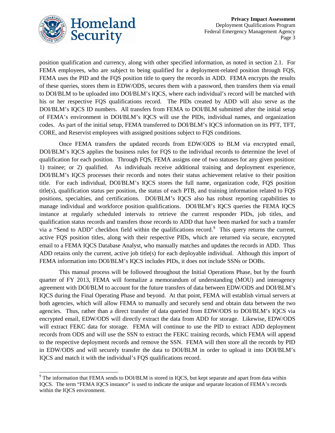

position qualification and currency, along with other specified information, as noted in section 2.1. For FEMA employees, who are subject to being qualified for a deployment-related position through FQS, FEMA uses the PID and the FQS position title to query the records in ADD. FEMA encrypts the results of these queries, stores them in EDW/ODS, secures them with a password, then transfers them via email to DOI/BLM to be uploaded into DOI/BLM's IQCS, where each individual's record will be matched with his or her respective FQS qualifications record. The PIDs created by ADD will also serve as the DOI/BLM's IQCS ID numbers. All transfers from FEMA to DOI/BLM submitted after the initial setup of FEMA's environment in DOI/BLM's IQCS will use the PIDs, individual names, and organization codes. As part of the initial setup, FEMA transferred to DOI/BLM's IQCS information on its PFT, TFT, CORE, and Reservist employees with assigned positions subject to FQS conditions.

Once FEMA transfers the updated records from EDW/ODS to BLM via encrypted email, DOI/BLM's IQCS applies the business rules for FQS to the individual records to determine the level of qualification for each position. Through FQS, FEMA assigns one of two statuses for any given position: 1) trainee; or 2) qualified. As individuals receive additional training and deployment experience, DOI/BLM's IQCS processes their records and notes their status achievement relative to their position title. For each individual, DOI/BLM's IQCS stores the full name, organization code, FQS position title(s), qualification status per position, the status of each PTB, and training information related to FQS positions, specialties, and certifications. DOI/BLM's IQCS also has robust reporting capabilities to manage individual and workforce position qualifications. DOI/BLM's IQCS queries the FEMA IQCS instance at regularly scheduled intervals to retrieve the current responder PIDs, job titles, and qualification status records and transfers those records to ADD that have been marked for such a transfer via a "Send to ADD" checkbox field within the qualifications record.<sup>[9](#page-3-0)</sup> This query returns the current, active FQS position titles, along with their respective PIDs, which are returned via secure, encrypted email to a FEMA IQCS Database Analyst, who manually matches and updates the records in ADD. Thus ADD retains only the current, active job title(s) for each deployable individual. Although this import of FEMA information into DOI/BLM's IQCS includes PIDs, it does not include SSNs or DOBs.

This manual process will be followed throughout the Initial Operations Phase, but by the fourth quarter of FY 2013, FEMA will formalize a memorandum of understanding (MOU) and interagency agreement with DOI/BLM to account for the future transfers of data between EDW/ODS and DOI/BLM's IQCS during the Final Operating Phase and beyond. At that point, FEMA will establish virtual servers at both agencies, which will allow FEMA to manually and securely send and obtain data between the two agencies. Thus, rather than a direct transfer of data queried from EDW/ODS to DOI/BLM's IQCS via encrypted email, EDW/ODS will directly extract the data from ADD for storage. Likewise, EDW/ODS will extract FEKC data for storage. FEMA will continue to use the PID to extract ADD deployment records from ODS and will use the SSN to extract the FEKC training records, which FEMA will append to the respective deployment records and remove the SSN. FEMA will then store all the records by PID in EDW/ODS and will securely transfer the data to DOI/BLM in order to upload it into DOI/BLM's IQCS and match it with the individual's FQS qualifications record.

<span id="page-3-0"></span><sup>&</sup>lt;sup>9</sup> The information that FEMA sends to DOI/BLM is stored in IQCS, but kept separate and apart from data within IQCS. The term "FEMA IQCS instance" is used to indicate the unique and separate location of FEMA's records within the IQCS environment.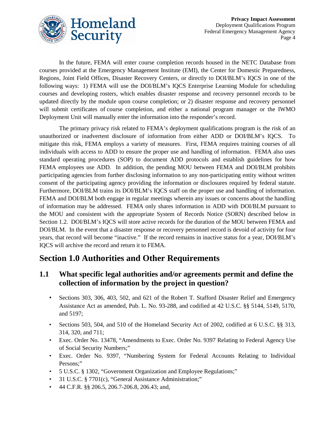

In the future, FEMA will enter course completion records housed in the NETC Database from courses provided at the Emergency Management Institute (EMI), the Center for Domestic Preparedness, Regions, Joint Field Offices, Disaster Recovery Centers, or directly to DOI/BLM's IQCS in one of the following ways: 1) FEMA will use the DOI/BLM's IQCS Enterprise Learning Module for scheduling courses and developing rosters, which enables disaster response and recovery personnel records to be updated directly by the module upon course completion; or 2) disaster response and recovery personnel will submit certificates of course completion, and either a national program manager or the IWMO Deployment Unit will manually enter the information into the responder's record.

The primary privacy risk related to FEMA's deployment qualifications program is the risk of an unauthorized or inadvertent disclosure of information from either ADD or DOI/BLM's IQCS. To mitigate this risk, FEMA employs a variety of measures. First, FEMA requires training courses of all individuals with access to ADD to ensure the proper use and handling of information. FEMA also uses standard operating procedures (SOP) to document ADD protocols and establish guidelines for how FEMA employees use ADD. In addition, the pending MOU between FEMA and DOI/BLM prohibits participating agencies from further disclosing information to any non-participating entity without written consent of the participating agency providing the information or disclosures required by federal statute. Furthermore, DOI/BLM trains its DOI/BLM's IQCS staff on the proper use and handling of information. FEMA and DOI/BLM both engage in regular meetings wherein any issues or concerns about the handling of information may be addressed. FEMA only shares information in ADD with DOI/BLM pursuant to the MOU and consistent with the appropriate System of Records Notice (SORN) described below in Section 1.2. DOI/BLM's IQCS will store active records for the duration of the MOU between FEMA and DOI/BLM. In the event that a disaster response or recovery personnel record is devoid of activity for four years, that record will become "inactive." If the record remains in inactive status for a year, DOI/BLM's IQCS will archive the record and return it to FEMA.

# **Section 1.0 Authorities and Other Requirements**

#### **1.1 What specific legal authorities and/or agreements permit and define the collection of information by the project in question?**

- Sections 303, 306, 403, 502, and 621 of the Robert T. Stafford Disaster Relief and Emergency Assistance Act as amended, Pub. L. No. 93-288, and codified at 42 U.S.C. §§ 5144, 5149, 5170, and 5197;
- Sections 503, 504, and 510 of the Homeland Security Act of 2002, codified at 6 U.S.C. §§ 313, 314, 320, and 711;
- Exec. Order No. 13478, "Amendments to Exec. Order No. 9397 Relating to Federal Agency Use of Social Security Numbers;"
- Exec. Order No. 9397, "Numbering System for Federal Accounts Relating to Individual Persons;"
- 5 U.S.C. § 1302, "Government Organization and Employee Regulations;"
- 31 U.S.C. § 7701(c), "General Assistance Administration;"
- 44 C.F.R. §§ 206.5, 206.7-206.8, 206.43; and,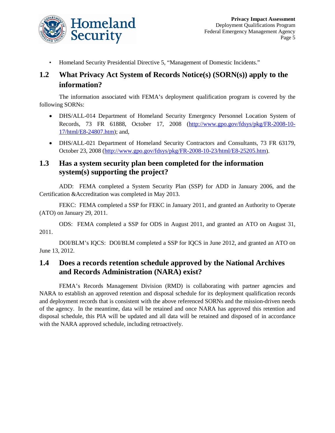

• Homeland Security Presidential Directive 5, "Management of Domestic Incidents."

## **1.2 What Privacy Act System of Records Notice(s) (SORN(s)) apply to the information?**

The information associated with FEMA's deployment qualification program is covered by the following SORNs:

- DHS/ALL-014 Department of Homeland Security Emergency Personnel Location System of Records, 73 FR 61888, October 17, 2008 [\(http://www.gpo.gov/fdsys/pkg/FR-2008-10-](http://www.gpo.gov/fdsys/pkg/FR-2008-10-17/html/E8-24807.htm) [17/html/E8-24807.htm\)](http://www.gpo.gov/fdsys/pkg/FR-2008-10-17/html/E8-24807.htm); and,
- DHS/ALL-021 Department of Homeland Security Contractors and Consultants, 73 FR 63179, October 23, 2008 [\(http://www.gpo.gov/fdsys/pkg/FR-2008-10-23/html/E8-25205.htm\)](http://www.gpo.gov/fdsys/pkg/FR-2008-10-23/html/E8-25205.htm).

#### **1.3 Has a system security plan been completed for the information system(s) supporting the project?**

ADD: FEMA completed a System Security Plan (SSP) for ADD in January 2006, and the Certification &Accreditation was completed in May 2013.

FEKC: FEMA completed a SSP for FEKC in January 2011, and granted an Authority to Operate (ATO) on January 29, 2011.

ODS: FEMA completed a SSP for ODS in August 2011, and granted an ATO on August 31, 2011.

DOI/BLM's IQCS: DOI/BLM completed a SSP for IQCS in June 2012, and granted an ATO on June 13, 2012.

#### **1.4 Does a records retention schedule approved by the National Archives and Records Administration (NARA) exist?**

FEMA's Records Management Division (RMD) is collaborating with partner agencies and NARA to establish an approved retention and disposal schedule for its deployment qualification records and deployment records that is consistent with the above referenced SORNs and the mission-driven needs of the agency. In the meantime, data will be retained and once NARA has approved this retention and disposal schedule, this PIA will be updated and all data will be retained and disposed of in accordance with the NARA approved schedule, including retroactively.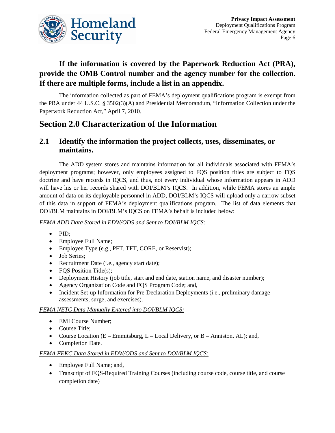

## **If the information is covered by the Paperwork Reduction Act (PRA), provide the OMB Control number and the agency number for the collection. If there are multiple forms, include a list in an appendix.**

The information collected as part of FEMA's deployment qualifications program is exempt from the PRA under 44 U.S.C. § 3502(3)(A) and Presidential Memorandum, "Information Collection under the Paperwork Reduction Act," April 7, 2010.

# **Section 2.0 Characterization of the Information**

#### **2.1 Identify the information the project collects, uses, disseminates, or maintains.**

The ADD system stores and maintains information for all individuals associated with FEMA's deployment programs; however, only employees assigned to FQS position titles are subject to FQS doctrine and have records in IQCS, and thus, not every individual whose information appears in ADD will have his or her records shared with DOI/BLM's IQCS. In addition, while FEMA stores an ample amount of data on its deployable personnel in ADD, DOI/BLM's IQCS will upload only a narrow subset of this data in support of FEMA's deployment qualifications program. The list of data elements that DOI/BLM maintains in DOI/BLM's IQCS on FEMA's behalf is included below:

*FEMA ADD Data Stored in EDW/ODS and Sent to DOI/BLM IQCS:*

- PID;
- Employee Full Name;
- Employee Type (e.g., PFT, TFT, CORE, or Reservist);
- Job Series;
- Recruitment Date (i.e., agency start date);
- FQS Position Title(s);
- Deployment History (job title, start and end date, station name, and disaster number);
- Agency Organization Code and FQS Program Code; and,
- Incident Set-up Information for Pre-Declaration Deployments (i.e., preliminary damage assessments, surge, and exercises).

#### *FEMA NETC Data Manually Entered into DOI/BLM IQCS:*

- EMI Course Number;
- Course Title;
- Course Location (E Emmitsburg, L Local Delivery, or B Anniston, AL); and,
- Completion Date.

#### *FEMA FEKC Data Stored in EDW/ODS and Sent to DOI/BLM IQCS:*

- Employee Full Name; and,
- Transcript of FQS-Required Training Courses (including course code, course title, and course completion date)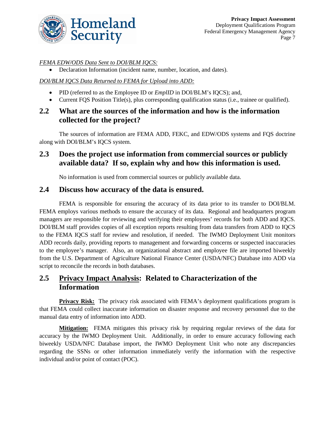

#### *FEMA EDW/ODS Data Sent to DOI/BLM IQCS:*

• Declaration Information (incident name, number, location, and dates).

#### *DOI/BLM IQCS Data Returned to FEMA for Upload into ADD:*

- PID (referred to as the Employee ID or *EmplID* in DOI/BLM's IQCS); and,
- Current FQS Position Title(s), plus corresponding qualification status (i.e., trainee or qualified).

#### **2.2 What are the sources of the information and how is the information collected for the project?**

The sources of information are FEMA ADD, FEKC, and EDW/ODS systems and FQS doctrine along with DOI/BLM's IQCS system.

#### **2.3 Does the project use information from commercial sources or publicly available data? If so, explain why and how this information is used.**

No information is used from commercial sources or publicly available data.

#### **2.4 Discuss how accuracy of the data is ensured.**

FEMA is responsible for ensuring the accuracy of its data prior to its transfer to DOI/BLM. FEMA employs various methods to ensure the accuracy of its data. Regional and headquarters program managers are responsible for reviewing and verifying their employees' records for both ADD and IQCS. DOI/BLM staff provides copies of all exception reports resulting from data transfers from ADD to IQCS to the FEMA IQCS staff for review and resolution, if needed. The IWMO Deployment Unit monitors ADD records daily, providing reports to management and forwarding concerns or suspected inaccuracies to the employee's manager. Also, an organizational abstract and employee file are imported biweekly from the U.S. Department of Agriculture National Finance Center (USDA/NFC) Database into ADD via script to reconcile the records in both databases.

#### **2.5 Privacy Impact Analysis: Related to Characterization of the Information**

**Privacy Risk:** The privacy risk associated with FEMA's deployment qualifications program is that FEMA could collect inaccurate information on disaster response and recovery personnel due to the manual data entry of information into ADD.

**Mitigation:** FEMA mitigates this privacy risk by requiring regular reviews of the data for accuracy by the IWMO Deployment Unit. Additionally, in order to ensure accuracy following each biweekly USDA/NFC Database import, the IWMO Deployment Unit who note any discrepancies regarding the SSNs or other information immediately verify the information with the respective individual and/or point of contact (POC).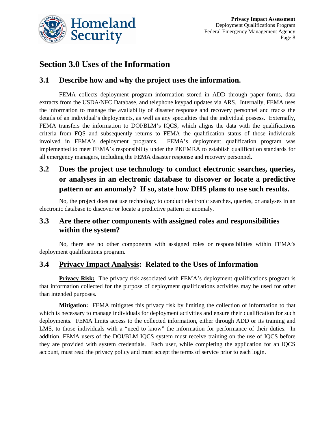

## **Section 3.0 Uses of the Information**

#### **3.1 Describe how and why the project uses the information.**

FEMA collects deployment program information stored in ADD through paper forms, data extracts from the USDA/NFC Database, and telephone keypad updates via ARS. Internally, FEMA uses the information to manage the availability of disaster response and recovery personnel and tracks the details of an individual's deployments, as well as any specialties that the individual possess. Externally, FEMA transfers the information to DOI/BLM's IQCS, which aligns the data with the qualifications criteria from FQS and subsequently returns to FEMA the qualification status of those individuals involved in FEMA's deployment programs. FEMA's deployment qualification program was implemented to meet FEMA's responsibility under the PKEMRA to establish qualification standards for all emergency managers, including the FEMA disaster response and recovery personnel.

## **3.2 Does the project use technology to conduct electronic searches, queries, or analyses in an electronic database to discover or locate a predictive pattern or an anomaly? If so, state how DHS plans to use such results.**

No, the project does not use technology to conduct electronic searches, queries, or analyses in an electronic database to discover or locate a predictive pattern or anomaly.

#### **3.3 Are there other components with assigned roles and responsibilities within the system?**

No, there are no other components with assigned roles or responsibilities within FEMA's deployment qualifications program.

#### **3.4 Privacy Impact Analysis: Related to the Uses of Information**

**Privacy Risk:** The privacy risk associated with FEMA's deployment qualifications program is that information collected for the purpose of deployment qualifications activities may be used for other than intended purposes.

**Mitigation:** FEMA mitigates this privacy risk by limiting the collection of information to that which is necessary to manage individuals for deployment activities and ensure their qualification for such deployments. FEMA limits access to the collected information, either through ADD or its training and LMS, to those individuals with a "need to know" the information for performance of their duties. In addition, FEMA users of the DOI/BLM IQCS system must receive training on the use of IQCS before they are provided with system credentials. Each user, while completing the application for an IQCS account, must read the privacy policy and must accept the terms of service prior to each login.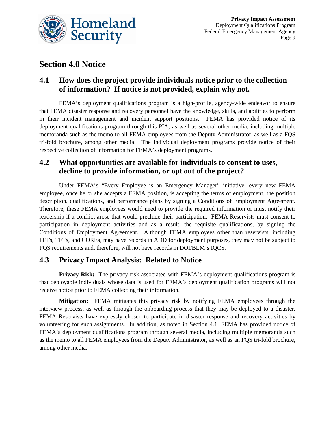

## **Section 4.0 Notice**

#### **4.1 How does the project provide individuals notice prior to the collection of information? If notice is not provided, explain why not.**

FEMA's deployment qualifications program is a high-profile, agency-wide endeavor to ensure that FEMA disaster response and recovery personnel have the knowledge, skills, and abilities to perform in their incident management and incident support positions. FEMA has provided notice of its deployment qualifications program through this PIA, as well as several other media, including multiple memoranda such as the memo to all FEMA employees from the Deputy Administrator, as well as a FQS tri-fold brochure, among other media. The individual deployment programs provide notice of their respective collection of information for FEMA's deployment programs.

#### **4.2 What opportunities are available for individuals to consent to uses, decline to provide information, or opt out of the project?**

Under FEMA's "Every Employee is an Emergency Manager" initiative, every new FEMA employee, once he or she accepts a FEMA position, is accepting the terms of employment, the position description, qualifications, and performance plans by signing a Conditions of Employment Agreement. Therefore, these FEMA employees would need to provide the required information or must notify their leadership if a conflict arose that would preclude their participation. FEMA Reservists must consent to participation in deployment activities and as a result, the requisite qualifications, by signing the Conditions of Employment Agreement. Although FEMA employees other than reservists, including PFTs, TFTs, and COREs, may have records in ADD for deployment purposes, they may not be subject to FQS requirements and, therefore, will not have records in DOI/BLM's IQCS.

#### **4.3 Privacy Impact Analysis: Related to Notice**

**Privacy Risk:** The privacy risk associated with FEMA's deployment qualifications program is that deployable individuals whose data is used for FEMA's deployment qualification programs will not receive notice prior to FEMA collecting their information.

**Mitigation:** FEMA mitigates this privacy risk by notifying FEMA employees through the interview process, as well as through the onboarding process that they may be deployed to a disaster. FEMA Reservists have expressly chosen to participate in disaster response and recovery activities by volunteering for such assignments. In addition, as noted in Section 4.1, FEMA has provided notice of FEMA's deployment qualifications program through several media, including multiple memoranda such as the memo to all FEMA employees from the Deputy Administrator, as well as an FQS tri-fold brochure, among other media.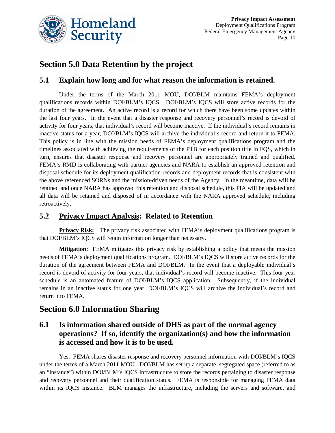

# **Section 5.0 Data Retention by the project**

#### **5.1 Explain how long and for what reason the information is retained.**

Under the terms of the March 2011 MOU, DOI/BLM maintains FEMA's deployment qualifications records within DOI/BLM's IQCS. DOI/BLM's IQCS will store active records for the duration of the agreement. An active record is a record for which there have been some updates within the last four years. In the event that a disaster response and recovery personnel's record is devoid of activity for four years, that individual's record will become inactive. If the individual's record remains in inactive status for a year, DOI/BLM's IQCS will archive the individual's record and return it to FEMA. This policy is in line with the mission needs of FEMA's deployment qualifications program and the timelines associated with achieving the requirements of the PTB for each position title in FQS, which in turn, ensures that disaster response and recovery personnel are appropriately trained and qualified. FEMA's RMD is collaborating with partner agencies and NARA to establish an approved retention and disposal schedule for its deployment qualification records and deployment records that is consistent with the above referenced SORNs and the mission-driven needs of the Agency. In the meantime, data will be retained and once NARA has approved this retention and disposal schedule, this PIA will be updated and all data will be retained and disposed of in accordance with the NARA approved schedule, including retroactively.

#### **5.2 Privacy Impact Analysis: Related to Retention**

**Privacy Risk:** The privacy risk associated with FEMA's deployment qualifications program is that DOI/BLM's IQCS will retain information longer than necessary.

**Mitigation:** FEMA mitigates this privacy risk by establishing a policy that meets the mission needs of FEMA's deployment qualifications program. DOI/BLM's IQCS will store active records for the duration of the agreement between FEMA and DOI/BLM. In the event that a deployable individual's record is devoid of activity for four years, that individual's record will become inactive. This four-year schedule is an automated feature of DOI/BLM's IQCS application. Subsequently, if the individual remains in an inactive status for one year, DOI/BLM's IQCS will archive the individual's record and return it to FEMA.

## **Section 6.0 Information Sharing**

#### **6.1 Is information shared outside of DHS as part of the normal agency operations? If so, identify the organization(s) and how the information is accessed and how it is to be used.**

Yes. FEMA shares disaster response and recovery personnel information with DOI/BLM's IQCS under the terms of a March 2011 MOU. DOI/BLM has set up a separate, segregated space (referred to as an "instance") within DOI/BLM's IQCS infrastructure to store the records pertaining to disaster response and recovery personnel and their qualification status. FEMA is responsible for managing FEMA data within its IQCS instance. BLM manages the infrastructure, including the servers and software, and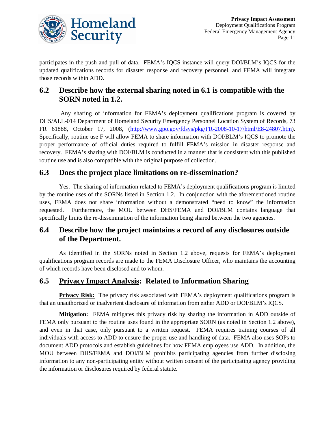

participates in the push and pull of data. FEMA's IQCS instance will query DOI/BLM's IQCS for the updated qualifications records for disaster response and recovery personnel, and FEMA will integrate those records within ADD.

## **6.2 Describe how the external sharing noted in 6.1 is compatible with the SORN noted in 1.2.**

Any sharing of information for FEMA's deployment qualifications program is covered by DHS/ALL-014 Department of Homeland Security Emergency Personnel Location System of Records, 73 FR 61888, October 17, 2008, [\(http://www.gpo.gov/fdsys/pkg/FR-2008-10-17/html/E8-24807.htm\)](http://www.gpo.gov/fdsys/pkg/FR-2008-10-17/html/E8-24807.htm). Specifically, routine use F will allow FEMA to share information with DOI/BLM's IQCS to promote the proper performance of official duties required to fulfill FEMA's mission in disaster response and recovery. FEMA's sharing with DOI/BLM is conducted in a manner that is consistent with this published routine use and is also compatible with the original purpose of collection.

#### **6.3 Does the project place limitations on re-dissemination?**

Yes. The sharing of information related to FEMA's deployment qualifications program is limited by the routine uses of the SORNs listed in Section 1.2. In conjunction with the aforementioned routine uses, FEMA does not share information without a demonstrated "need to know" the information requested. Furthermore, the MOU between DHS/FEMA and DOI/BLM contains language that specifically limits the re-dissemination of the information being shared between the two agencies.

#### **6.4 Describe how the project maintains a record of any disclosures outside of the Department.**

As identified in the SORNs noted in Section 1.2 above, requests for FEMA's deployment qualifications program records are made to the FEMA Disclosure Officer, who maintains the accounting of which records have been disclosed and to whom.

## **6.5 Privacy Impact Analysis: Related to Information Sharing**

**Privacy Risk:** The privacy risk associated with FEMA's deployment qualifications program is that an unauthorized or inadvertent disclosure of information from either ADD or DOI/BLM's IQCS.

**Mitigation:** FEMA mitigates this privacy risk by sharing the information in ADD outside of FEMA only pursuant to the routine uses found in the appropriate SORN (as noted in Section 1.2 above), and even in that case, only pursuant to a written request. FEMA requires training courses of all individuals with access to ADD to ensure the proper use and handling of data. FEMA also uses SOPs to document ADD protocols and establish guidelines for how FEMA employees use ADD. In addition, the MOU between DHS/FEMA and DOI/BLM prohibits participating agencies from further disclosing information to any non-participating entity without written consent of the participating agency providing the information or disclosures required by federal statute.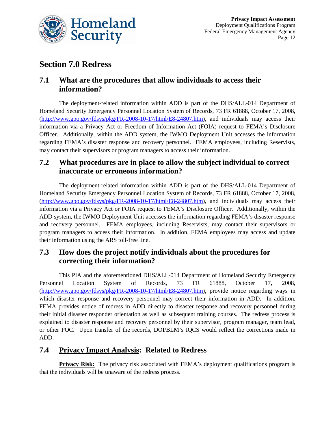

## **Section 7.0 Redress**

#### **7.1 What are the procedures that allow individuals to access their information?**

The deployment-related information within ADD is part of the DHS/ALL-014 Department of Homeland Security Emergency Personnel Location System of Records, 73 FR 61888, October 17, 2008, [\(http://www.gpo.gov/fdsys/pkg/FR-2008-10-17/html/E8-24807.htm\)](http://www.gpo.gov/fdsys/pkg/FR-2008-10-17/html/E8-24807.htm), and individuals may access their information via a Privacy Act or Freedom of Information Act (FOIA) request to FEMA's Disclosure Officer. Additionally, within the ADD system, the IWMO Deployment Unit accesses the information regarding FEMA's disaster response and recovery personnel. FEMA employees, including Reservists, may contact their supervisors or program managers to access their information.

## **7.2 What procedures are in place to allow the subject individual to correct inaccurate or erroneous information?**

The deployment-related information within ADD is part of the DHS/ALL-014 Department of Homeland Security Emergency Personnel Location System of Records, 73 FR 61888, October 17, 2008, [\(http://www.gpo.gov/fdsys/pkg/FR-2008-10-17/html/E8-24807.htm\)](http://www.gpo.gov/fdsys/pkg/FR-2008-10-17/html/E8-24807.htm), and individuals may access their information via a Privacy Act or FOIA request to FEMA's Disclosure Officer. Additionally, within the ADD system, the IWMO Deployment Unit accesses the information regarding FEMA's disaster response and recovery personnel. FEMA employees, including Reservists, may contact their supervisors or program managers to access their information. In addition, FEMA employees may access and update their information using the ARS toll-free line.

## **7.3 How does the project notify individuals about the procedures for correcting their information?**

This PIA and the aforementioned DHS/ALL-014 Department of Homeland Security Emergency Personnel Location System of Records, 73 FR 61888, October 17, 2008, [\(http://www.gpo.gov/fdsys/pkg/FR-2008-10-17/html/E8-24807.htm\)](http://www.gpo.gov/fdsys/pkg/FR-2008-10-17/html/E8-24807.htm), provide notice regarding ways in which disaster response and recovery personnel may correct their information in ADD. In addition, FEMA provides notice of redress in ADD directly to disaster response and recovery personnel during their initial disaster responder orientation as well as subsequent training courses. The redress process is explained to disaster response and recovery personnel by their supervisor, program manager, team lead, or other POC. Upon transfer of the records, DOI/BLM's IQCS would reflect the corrections made in ADD.

## **7.4 Privacy Impact Analysis: Related to Redress**

**Privacy Risk:** The privacy risk associated with FEMA's deployment qualifications program is that the individuals will be unaware of the redress process.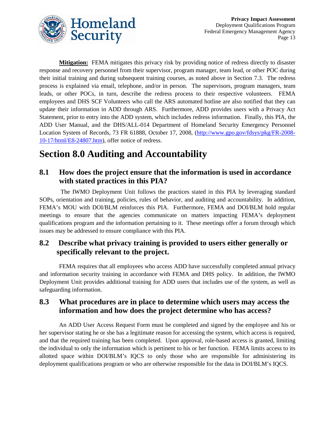

**Mitigation:** FEMA mitigates this privacy risk by providing notice of redress directly to disaster response and recovery personnel from their supervisor, program manager, team lead, or other POC during their initial training and during subsequent training courses, as noted above in Section 7.3. The redress process is explained via email, telephone, and/or in person. The supervisors, program managers, team leads, or other POCs, in turn, describe the redress process to their respective volunteers. FEMA employees and DHS SCF Volunteers who call the ARS automated hotline are also notified that they can update their information in ADD through ARS. Furthermore, ADD provides users with a Privacy Act Statement, prior to entry into the ADD system, which includes redress information. Finally, this PIA, the ADD User Manual, and the DHS/ALL-014 Department of Homeland Security Emergency Personnel Location System of Records, 73 FR 61888, October 17, 2008, [\(http://www.gpo.gov/fdsys/pkg/FR-2008-](http://www.gpo.gov/fdsys/pkg/FR-2008-10-17/html/E8-24807.htm) [10-17/html/E8-24807.htm\)](http://www.gpo.gov/fdsys/pkg/FR-2008-10-17/html/E8-24807.htm), offer notice of redress.

# **Section 8.0 Auditing and Accountability**

#### **8.1 How does the project ensure that the information is used in accordance with stated practices in this PIA?**

The IWMO Deployment Unit follows the practices stated in this PIA by leveraging standard SOPs, orientation and training, policies, rules of behavior, and auditing and accountability. In addition, FEMA's MOU with DOI/BLM reinforces this PIA. Furthermore, FEMA and DOI/BLM hold regular meetings to ensure that the agencies communicate on matters impacting FEMA's deployment qualifications program and the information pertaining to it. These meetings offer a forum through which issues may be addressed to ensure compliance with this PIA.

#### **8.2 Describe what privacy training is provided to users either generally or specifically relevant to the project.**

FEMA requires that all employees who access ADD have successfully completed annual privacy and information security training in accordance with FEMA and DHS policy. In addition, the IWMO Deployment Unit provides additional training for ADD users that includes use of the system, as well as safeguarding information.

#### **8.3 What procedures are in place to determine which users may access the information and how does the project determine who has access?**

An ADD User Access Request Form must be completed and signed by the employee and his or her supervisor stating he or she has a legitimate reason for accessing the system, which access is required, and that the required training has been completed. Upon approval, role-based access is granted, limiting the individual to only the information which is pertinent to his or her function. FEMA limits access to its allotted space within DOI/BLM's IQCS to only those who are responsible for administering its deployment qualifications program or who are otherwise responsible for the data in DOI/BLM's IQCS.